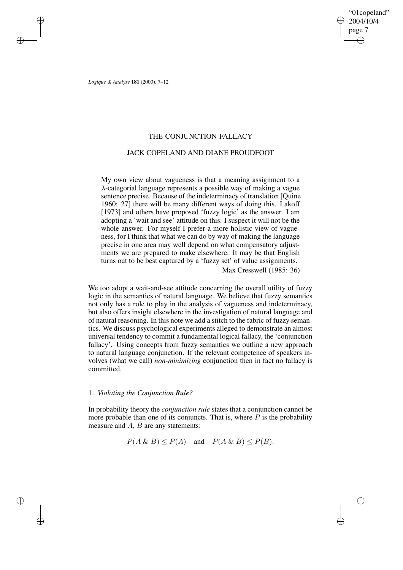"01copeland" 2004/10/4 page 7 ✐ ✐

✐

✐

*Logique & Analyse* **181** (2003), 7–12

✐

✐

✐

✐

## THE CONJUNCTION FALLACY

# JACK COPELAND AND DIANE PROUDFOOT

My own view about vagueness is that a meaning assignment to a λ-categorial language represents a possible way of making a vague sentence precise. Because of the indeterminacy of translation [Quine 1960: 27] there will be many different ways of doing this. Lakoff [1973] and others have proposed 'fuzzy logic' as the answer. I am adopting a 'wait and see' attitude on this. I suspect it will not be the whole answer. For myself I prefer a more holistic view of vagueness, for I think that what we can do by way of making the language precise in one area may well depend on what compensatory adjustments we are prepared to make elsewhere. It may be that English turns out to be best captured by a 'fuzzy set' of value assignments. Max Cresswell (1985: 36)

We too adopt a wait-and-see attitude concerning the overall utility of fuzzy logic in the semantics of natural language. We believe that fuzzy semantics not only has a role to play in the analysis of vagueness and indeterminacy, but also offers insight elsewhere in the investigation of natural language and of natural reasoning. In this note we add a stitch to the fabric of fuzzy semantics. We discuss psychological experiments alleged to demonstrate an almost universal tendency to commit a fundamental logical fallacy, the 'conjunction fallacy'. Using concepts from fuzzy semantics we outline a new approach to natural language conjunction. If the relevant competence of speakers involves (what we call) *non-minimizing* conjunction then in fact no fallacy is committed.

### 1. *Violating the Conjunction Rule?*

In probability theory the *conjunction rule* states that a conjunction cannot be more probable than one of its conjuncts. That is, where  $P$  is the probability measure and  $A$ ,  $B$  are any statements:

$$
P(A \& B) \leq P(A)
$$
 and  $P(A \& B) \leq P(B)$ .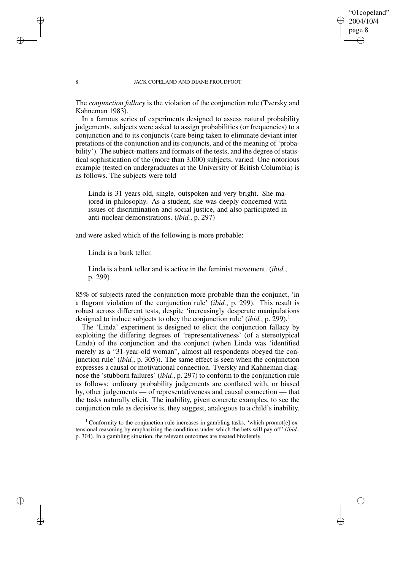### "01copeland" 2004/10/4 page 8 ✐ ✐

✐

✐

#### 8 JACK COPELAND AND DIANE PROUDFOOT

The *conjunction fallacy* is the violation of the conjunction rule (Tversky and Kahneman 1983).

In a famous series of experiments designed to assess natural probability judgements, subjects were asked to assign probabilities (or frequencies) to a conjunction and to its conjuncts (care being taken to eliminate deviant interpretations of the conjunction and its conjuncts, and of the meaning of 'probability'). The subject-matters and formats of the tests, and the degree of statistical sophistication of the (more than 3,000) subjects, varied. One notorious example (tested on undergraduates at the University of British Columbia) is as follows. The subjects were told

Linda is 31 years old, single, outspoken and very bright. She majored in philosophy. As a student, she was deeply concerned with issues of discrimination and social justice, and also participated in anti-nuclear demonstrations. (*ibid.*, p. 297)

and were asked which of the following is more probable:

Linda is a bank teller.

Linda is a bank teller and is active in the feminist movement. (*ibid.*, p. 299)

85% of subjects rated the conjunction more probable than the conjunct, 'in a flagrant violation of the conjunction rule' (*ibid.*, p. 299). This result is robust across different tests, despite 'increasingly desperate manipulations designed to induce subjects to obey the conjunction rule' *(ibid., p.* 299).<sup>1</sup>

The 'Linda' experiment is designed to elicit the conjunction fallacy by exploiting the differing degrees of 'representativeness' (of a stereotypical Linda) of the conjunction and the conjunct (when Linda was 'identified merely as a "31-year-old woman", almost all respondents obeyed the conjunction rule' (*ibid.*, p. 305)). The same effect is seen when the conjunction expresses a causal or motivational connection. Tversky and Kahneman diagnose the 'stubborn failures' (*ibid.*, p. 297) to conform to the conjunction rule as follows: ordinary probability judgements are conflated with, or biased by, other judgements — of representativeness and causal connection — that the tasks naturally elicit. The inability, given concrete examples, to see the conjunction rule as decisive is, they suggest, analogous to a child's inability,

<sup>1</sup> Conformity to the conjunction rule increases in gambling tasks, 'which promot[e] extensional reasoning by emphasizing the conditions under which the bets will pay off' (*ibid.*, p. 304). In a gambling situation, the relevant outcomes are treated bivalently.

✐

✐

✐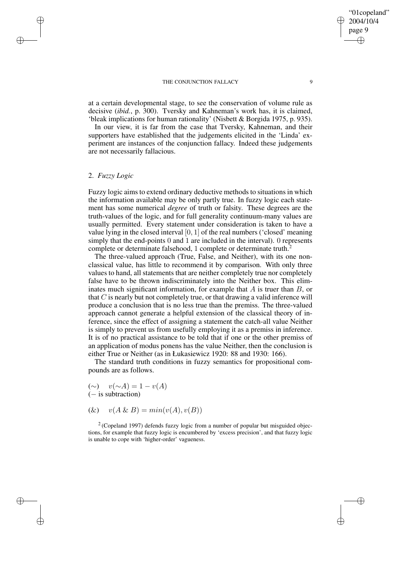#### THE CONJUNCTION FALLACY 9

at a certain developmental stage, to see the conservation of volume rule as decisive (*ibid.*, p. 300). Tversky and Kahneman's work has, it is claimed, 'bleak implications for human rationality' (Nisbett & Borgida 1975, p. 935).

In our view, it is far from the case that Tversky, Kahneman, and their supporters have established that the judgements elicited in the 'Linda' experiment are instances of the conjunction fallacy. Indeed these judgements are not necessarily fallacious.

### 2. *Fuzzy Logic*

✐

✐

✐

✐

Fuzzy logic aims to extend ordinary deductive methods to situations in which the information available may be only partly true. In fuzzy logic each statement has some numerical *degree* of truth or falsity. These degrees are the truth-values of the logic, and for full generality continuum-many values are usually permitted. Every statement under consideration is taken to have a value lying in the closed interval  $[0, 1]$  of the real numbers ('closed' meaning simply that the end-points 0 and 1 are included in the interval). 0 represents complete or determinate falsehood, 1 complete or determinate truth.<sup>2</sup>

The three-valued approach (True, False, and Neither), with its one nonclassical value, has little to recommend it by comparison. With only three values to hand, all statements that are neither completely true nor completely false have to be thrown indiscriminately into the Neither box. This eliminates much significant information, for example that  $A$  is truer than  $B$ , or that  $C$  is nearly but not completely true, or that drawing a valid inference will produce a conclusion that is no less true than the premiss. The three-valued approach cannot generate a helpful extension of the classical theory of inference, since the effect of assigning a statement the catch-all value Neither is simply to prevent us from usefully employing it as a premiss in inference. It is of no practical assistance to be told that if one or the other premiss of an application of modus ponens has the value Neither, then the conclusion is either True or Neither (as in Łukasiewicz 1920: 88 and 1930: 166).

The standard truth conditions in fuzzy semantics for propositional compounds are as follows.

- $(\sim)$   $v(\sim A) = 1 v(A)$ (− is subtraction)
- (&)  $v(A \& B) = min(v(A), v(B))$

 $2$  (Copeland 1997) defends fuzzy logic from a number of popular but misguided objections, for example that fuzzy logic is encumbered by 'excess precision', and that fuzzy logic is unable to cope with 'higher-order' vagueness.

"01copeland" 2004/10/4 page 9

✐

✐

✐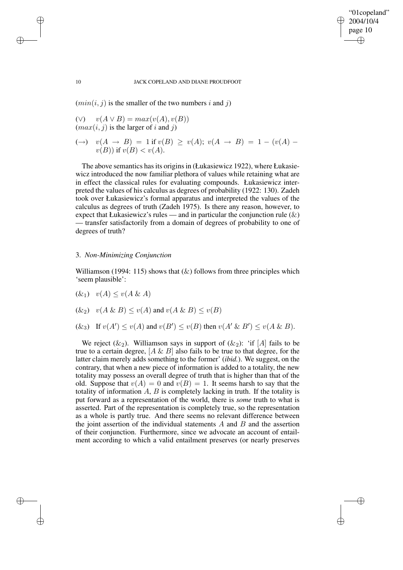✐

✐

#### 10 JACK COPELAND AND DIANE PROUDFOOT

 $(min(i, j)$  is the smaller of the two numbers i and j)

- (∨)  $v(A \vee B) = max(v(A), v(B))$  $(max(i, j)$  is the larger of i and j)
- (→)  $v(A \to B) = 1$  if  $v(B) \ge v(A)$ ;  $v(A \to B) = 1 (v(A)$  $v(B)$ ) if  $v(B) < v(A)$ .

The above semantics has its origins in (Łukasiewicz 1922), where Łukasiewicz introduced the now familiar plethora of values while retaining what are in effect the classical rules for evaluating compounds. Łukasiewicz interpreted the values of his calculus as degrees of probability (1922: 130). Zadeh took over Łukasiewicz's formal apparatus and interpreted the values of the calculus as degrees of truth (Zadeh 1975). Is there any reason, however, to expect that Łukasiewicz's rules — and in particular the conjunction rule  $(\&)$ — transfer satisfactorily from a domain of degrees of probability to one of degrees of truth?

### 3. *Non-Minimizing Conjunction*

Williamson (1994: 115) shows that  $(k)$  follows from three principles which 'seem plausible':

 $(k_1)$   $v(A) \le v(A \& A)$ 

$$
(\&2)
$$
  $v(A \& B) \leq v(A)$  and  $v(A \& B) \leq v(B)$ 

 $(\&$ <sub>3</sub>) If  $v(A') \le v(A)$  and  $v(B') \le v(B)$  then  $v(A' \& B') \le v(A \& B)$ .

We reject  $(\&_2)$ . Williamson says in support of  $(\&_2)$ : 'if [A] fails to be true to a certain degree,  $[A \& B]$  also fails to be true to that degree, for the latter claim merely adds something to the former' (*ibid.*). We suggest, on the contrary, that when a new piece of information is added to a totality, the new totality may possess an overall degree of truth that is higher than that of the old. Suppose that  $v(A) = 0$  and  $v(B) = 1$ . It seems harsh to say that the totality of information  $A, B$  is completely lacking in truth. If the totality is put forward as a representation of the world, there is *some* truth to what is asserted. Part of the representation is completely true, so the representation as a whole is partly true. And there seems no relevant difference between the joint assertion of the individual statements  $A$  and  $B$  and the assertion of their conjunction. Furthermore, since we advocate an account of entailment according to which a valid entailment preserves (or nearly preserves

✐

✐

✐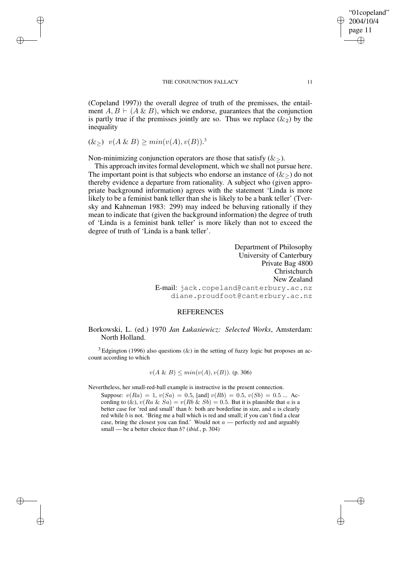#### THE CONJUNCTION FALLACY 11

(Copeland 1997)) the overall degree of truth of the premisses, the entailment  $A, B \vdash (A \& B)$ , which we endorse, guarantees that the conjunction is partly true if the premisses jointly are so. Thus we replace  $(\&_2)$  by the inequality

$$
(\&\geq)\ \ v(A\ \&\ B) \geq \min(v(A), v(B)).^3
$$

✐

✐

✐

✐

Non-minimizing conjunction operators are those that satisfy  $(\&\>)$ .

This approach invites formal development, which we shall not pursue here. The important point is that subjects who endorse an instance of  $(\&_{>})$  do not thereby evidence a departure from rationality. A subject who (given appropriate background information) agrees with the statement 'Linda is more likely to be a feminist bank teller than she is likely to be a bank teller' (Tversky and Kahneman 1983: 299) may indeed be behaving rationally if they mean to indicate that (given the background information) the degree of truth of 'Linda is a feminist bank teller' is more likely than not to exceed the degree of truth of 'Linda is a bank teller'.

> Department of Philosophy University of Canterbury Private Bag 4800 Christchurch New Zealand E-mail: jack.copeland@canterbury.ac.nz diane.proudfoot@canterbury.ac.nz

## **REFERENCES**

### Borkowski, L. (ed.) 1970 *Jan Łukasiewicz: Selected Works*, Amsterdam: North Holland.

 $3$  Edgington (1996) also questions ( $\&$ ) in the setting of fuzzy logic but proposes an account according to which

$$
v(A \& B) \le min(v(A), v(B))
$$
. (p. 306)

Nevertheless, her small-red-ball example is instructive in the present connection.

Suppose:  $v(Ra) = 1$ ,  $v(Sa) = 0.5$ , [and]  $v(Rb) = 0.5$ ,  $v(Sb) = 0.5$  ... According to (&),  $v(Ra \& Sa) = v(Rb \& Sb) = 0.5$ . But it is plausible that a is a better case for 'red and small' than  $b$ : both are borderline in size, and  $a$  is clearly red while  $b$  is not. 'Bring me a ball which is red and small; if you can't find a clear case, bring the closest you can find.' Would not  $a$  — perfectly red and arguably small — be a better choice than b? (*ibid.*, p. 304)

"01copeland" 2004/10/4 page 11

✐

✐

✐